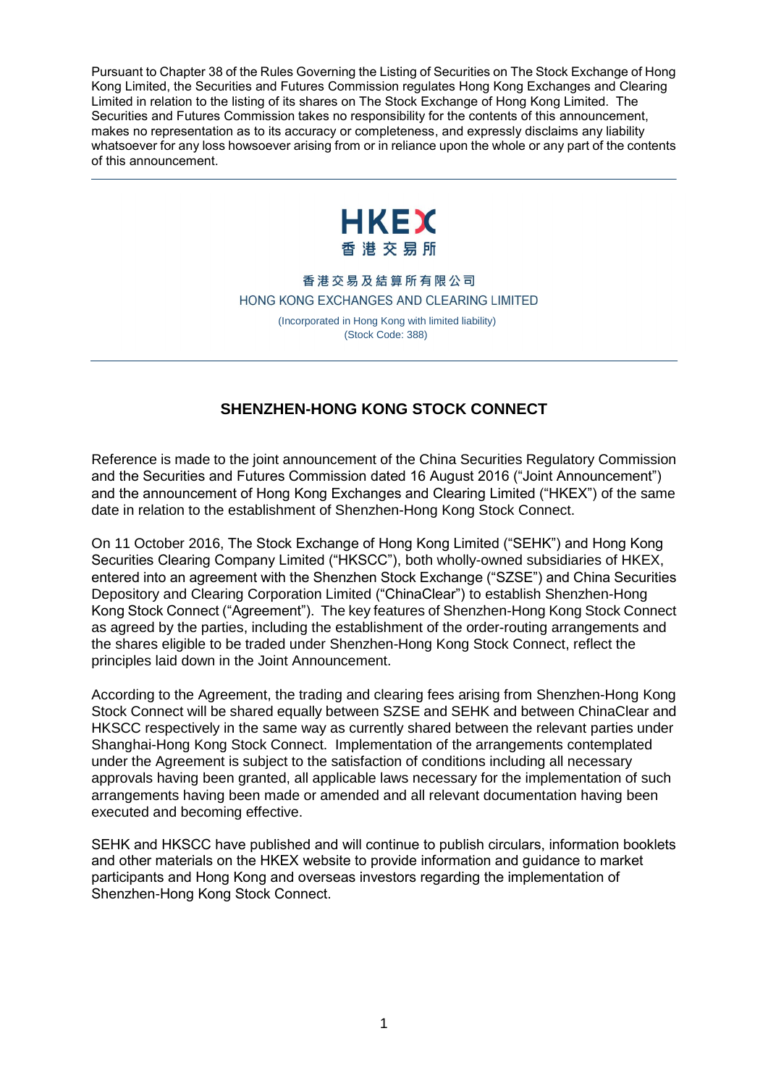Pursuant to Chapter 38 of the Rules Governing the Listing of Securities on The Stock Exchange of Hong Kong Limited, the Securities and Futures Commission regulates Hong Kong Exchanges and Clearing Limited in relation to the listing of its shares on The Stock Exchange of Hong Kong Limited. The Securities and Futures Commission takes no responsibility for the contents of this announcement, makes no representation as to its accuracy or completeness, and expressly disclaims any liability whatsoever for any loss howsoever arising from or in reliance upon the whole or any part of the contents of this announcement.



## 香港交易及結算所有限公司 HONG KONG EXCHANGES AND CLEARING LIMITED

( Incorporated in Hong Kong with limited liability) (Stock Code: 388)

## **SHENZHEN-HONG KONG STOCK CONNECT**

Reference is made to the joint announcement of the China Securities Regulatory Commission and the Securities and Futures Commission dated 16 August 2016 ("Joint Announcement") and the announcement of Hong Kong Exchanges and Clearing Limited ("HKEX") of the same date in relation to the establishment of Shenzhen-Hong Kong Stock Connect.

On 11 October 2016, The Stock Exchange of Hong Kong Limited ("SEHK") and Hong Kong Securities Clearing Company Limited ("HKSCC"), both wholly-owned subsidiaries of HKEX, entered into an agreement with the Shenzhen Stock Exchange ("SZSE") and China Securities Depository and Clearing Corporation Limited ("ChinaClear") to establish Shenzhen-Hong Kong Stock Connect ("Agreement"). The key features of Shenzhen-Hong Kong Stock Connect as agreed by the parties, including the establishment of the order-routing arrangements and the shares eligible to be traded under Shenzhen-Hong Kong Stock Connect, reflect the principles laid down in the Joint Announcement.

According to the Agreement, the trading and clearing fees arising from Shenzhen-Hong Kong Stock Connect will be shared equally between SZSE and SEHK and between ChinaClear and HKSCC respectively in the same way as currently shared between the relevant parties under Shanghai-Hong Kong Stock Connect. Implementation of the arrangements contemplated under the Agreement is subject to the satisfaction of conditions including all necessary approvals having been granted, all applicable laws necessary for the implementation of such arrangements having been made or amended and all relevant documentation having been executed and becoming effective.

SEHK and HKSCC have published and will continue to publish circulars, information booklets and other materials on the HKEX website to provide information and guidance to market participants and Hong Kong and overseas investors regarding the implementation of Shenzhen-Hong Kong Stock Connect.